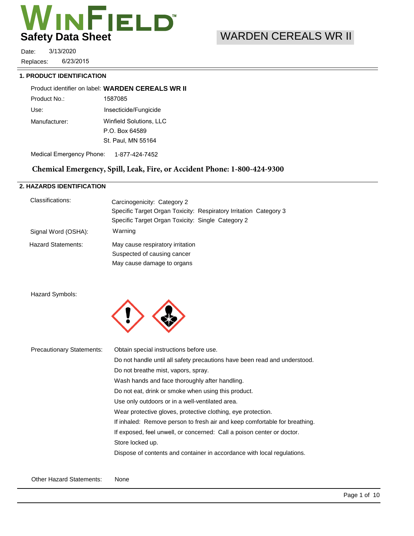

6/23/2015 3/13/2020 Replaces: Date:

#### **1. PRODUCT IDENTIFICATION**

1587085 Use: Insecticide/Fungicide Product identifier on label: **WARDEN CEREALS WR II** Product No.:

Manufacturer: Winfield Solutions, LLC P.O. Box 64589 St. Paul, MN 55164

Medical Emergency Phone: 1-877-424-7452

# **Chemical Emergency, Spill, Leak, Fire, or Accident Phone: 1-800-424-9300**

# **2. HAZARDS IDENTIFICATION**

| Classifications:          | Carcinogenicity: Category 2                                       |
|---------------------------|-------------------------------------------------------------------|
|                           | Specific Target Organ Toxicity: Respiratory Irritation Category 3 |
|                           | Specific Target Organ Toxicity: Single Category 2                 |
| Signal Word (OSHA):       | Warning                                                           |
| <b>Hazard Statements:</b> | May cause respiratory irritation                                  |
|                           | Suspected of causing cancer                                       |
|                           | May cause damage to organs                                        |

Hazard Symbols:



| <b>Precautionary Statements:</b> | Obtain special instructions before use.                                    |
|----------------------------------|----------------------------------------------------------------------------|
|                                  | Do not handle until all safety precautions have been read and understood.  |
|                                  | Do not breathe mist, vapors, spray.                                        |
|                                  | Wash hands and face thoroughly after handling.                             |
|                                  | Do not eat, drink or smoke when using this product.                        |
|                                  | Use only outdoors or in a well-ventilated area.                            |
|                                  | Wear protective gloves, protective clothing, eye protection.               |
|                                  | If inhaled: Remove person to fresh air and keep comfortable for breathing. |
|                                  | If exposed, feel unwell, or concerned: Call a poison center or doctor.     |
|                                  | Store locked up.                                                           |
|                                  | Dispose of contents and container in accordance with local regulations.    |
|                                  |                                                                            |
|                                  |                                                                            |

Other Hazard Statements: None

# WARDEN CEREALS WR II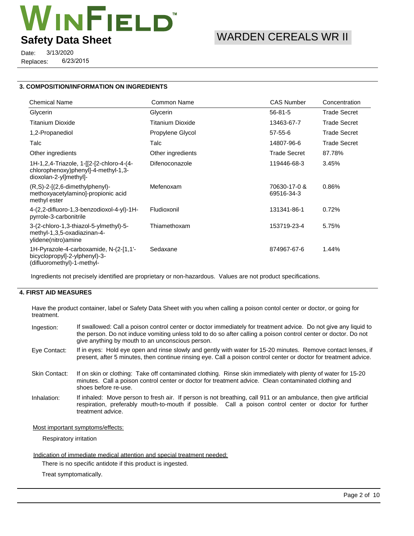

6/23/2015 3/13/2020 Replaces: Date:

## **3. COMPOSITION/INFORMATION ON INGREDIENTS**

| <b>Chemical Name</b>                                                                                      | <b>Common Name</b> | <b>CAS Number</b>          | Concentration       |
|-----------------------------------------------------------------------------------------------------------|--------------------|----------------------------|---------------------|
| Glycerin                                                                                                  | Glycerin           | $56 - 81 - 5$              | <b>Trade Secret</b> |
| <b>Titanium Dioxide</b>                                                                                   | Titanium Dioxide   | 13463-67-7                 | <b>Trade Secret</b> |
| 1,2-Propanediol                                                                                           | Propylene Glycol   | 57-55-6                    | <b>Trade Secret</b> |
| Talc                                                                                                      | Talc               | 14807-96-6                 | <b>Trade Secret</b> |
| Other ingredients                                                                                         | Other ingredients  | <b>Trade Secret</b>        | 87.78%              |
| 1H-1,2,4-Triazole, 1-[[2-[2-chloro-4-(4-<br>chlorophenoxy)phenyl]-4-methyl-1,3-<br>dioxolan-2-yl]methyl]- | Difenoconazole     | 119446-68-3                | 3.45%               |
| $(R, S)-2-[2, 6-dimethylphenyl)-$<br>methoxyacetylamino]-propionic acid<br>methyl ester                   | Mefenoxam          | 70630-17-0 &<br>69516-34-3 | 0.86%               |
| 4-(2,2-difluoro-1,3-benzodioxol-4-yl)-1H-<br>pyrrole-3-carbonitrile                                       | Fludioxonil        | 131341-86-1                | 0.72%               |
| 3-(2-chloro-1,3-thiazol-5-ylmethyl)-5-<br>methyl-1,3,5-oxadiazinan-4-<br>ylidene(nitro)amine              | Thiamethoxam       | 153719-23-4                | 5.75%               |
| 1H-Pyrazole-4-carboxamide, N-(2-[1,1'-<br>bicyclopropyl]-2-ylphenyl)-3-<br>(difluoromethyl)-1-methyl-     | Sedaxane           | 874967-67-6                | 1.44%               |

Ingredients not precisely identified are proprietary or non-hazardous. Values are not product specifications.

# **4. FIRST AID MEASURES**

Have the product container, label or Safety Data Sheet with you when calling a poison contol center or doctor, or going for treatment.

| Ingestion:           | If swallowed: Call a poison control center or doctor immediately for treatment advice. Do not give any liquid to<br>the person. Do not induce vomiting unless told to do so after calling a poison control center or doctor. Do not<br>give anything by mouth to an unconscious person. |
|----------------------|-----------------------------------------------------------------------------------------------------------------------------------------------------------------------------------------------------------------------------------------------------------------------------------------|
| Eye Contact:         | If in eyes: Hold eye open and rinse slowly and gently with water for 15-20 minutes. Remove contact lenses, if<br>present, after 5 minutes, then continue rinsing eye. Call a poison control center or doctor for treatment advice.                                                      |
| <b>Skin Contact:</b> | If on skin or clothing: Take off contaminated clothing. Rinse skin immediately with plenty of water for 15-20<br>minutes. Call a poison control center or doctor for treatment advice. Clean contaminated clothing and<br>shoes before re-use.                                          |

If inhaled: Move person to fresh air. If person is not breathing, call 911 or an ambulance, then give artificial respiration, preferably mouth-to-mouth if possible. Call a poison control center or doctor for further treatment advice. Inhalation:

### Most important symptoms/effects:

Respiratory irritation

#### Indication of immediate medical attention and special treatment needed:

There is no specific antidote if this product is ingested.

Treat symptomatically.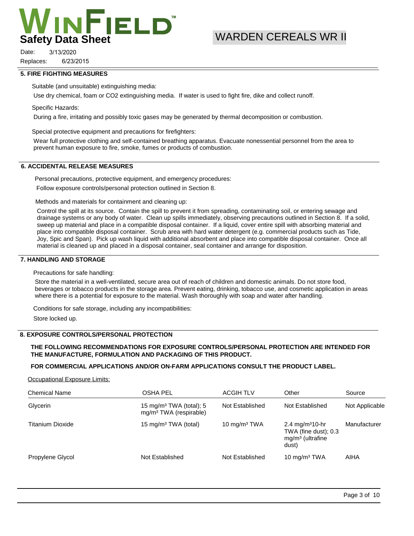

# WARDEN CEREALS WR II

6/23/2015 3/13/2020 Replaces: Date:

#### **5. FIRE FIGHTING MEASURES**

Suitable (and unsuitable) extinguishing media:

Use dry chemical, foam or CO2 extinguishing media. If water is used to fight fire, dike and collect runoff.

#### Specific Hazards:

During a fire, irritating and possibly toxic gases may be generated by thermal decomposition or combustion.

Special protective equipment and precautions for firefighters:

Wear full protective clothing and self-contained breathing apparatus. Evacuate nonessential personnel from the area to prevent human exposure to fire, smoke, fumes or products of combustion.

## **6. ACCIDENTAL RELEASE MEASURES**

Personal precautions, protective equipment, and emergency procedures: Follow exposure controls/personal protection outlined in Section 8.

Methods and materials for containment and cleaning up:

Control the spill at its source. Contain the spill to prevent it from spreading, contaminating soil, or entering sewage and drainage systems or any body of water. Clean up spills immediately, observing precautions outlined in Section 8. If a solid, sweep up material and place in a compatible disposal container. If a liquid, cover entire spill with absorbing material and place into compatible disposal container. Scrub area with hard water detergent (e.g. commercial products such as Tide, Joy, Spic and Span). Pick up wash liquid with additional absorbent and place into compatible disposal container. Once all material is cleaned up and placed in a disposal container, seal container and arrange for disposition.

### **7. HANDLING AND STORAGE**

Precautions for safe handling:

Store the material in a well-ventilated, secure area out of reach of children and domestic animals. Do not store food, beverages or tobacco products in the storage area. Prevent eating, drinking, tobacco use, and cosmetic application in areas where there is a potential for exposure to the material. Wash thoroughly with soap and water after handling.

Conditions for safe storage, including any incompatibilities:

Store locked up.

## **8. EXPOSURE CONTROLS/PERSONAL PROTECTION**

### **THE FOLLOWING RECOMMENDATIONS FOR EXPOSURE CONTROLS/PERSONAL PROTECTION ARE INTENDED FOR THE MANUFACTURE, FORMULATION AND PACKAGING OF THIS PRODUCT.**

## **FOR COMMERCIAL APPLICATIONS AND/OR ON-FARM APPLICATIONS CONSULT THE PRODUCT LABEL.**

#### Occupational Exposure Limits:

| <b>Chemical Name</b> | OSHA PEL                                                                  | <b>ACGIH TLV</b> | Other                                                                              | Source         |
|----------------------|---------------------------------------------------------------------------|------------------|------------------------------------------------------------------------------------|----------------|
| Glycerin             | 15 mg/m <sup>3</sup> TWA (total); 5<br>mg/m <sup>3</sup> TWA (respirable) | Not Established  | Not Established                                                                    | Not Applicable |
| Titanium Dioxide     | 15 mg/m <sup>3</sup> TWA (total)                                          | 10 $mq/m3 TWA$   | 2.4 mg/m <sup>3</sup> 10-hr<br>TWA (fine dust); 0.3<br>$mg/m3$ (ultrafine<br>dust) | Manufacturer   |
| Propylene Glycol     | Not Established                                                           | Not Established  | 10 mg/m <sup>3</sup> TWA                                                           | AIHA           |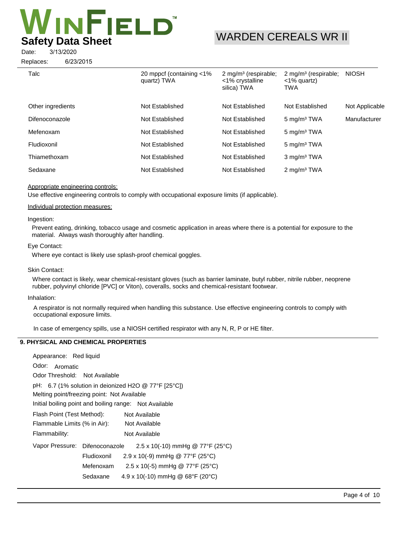# **INFIELD Safety Data Sheet**

# WARDEN CEREALS WR II

3/13/2020 Date:

6/23/2015 Replaces:

| Talc              | 20 mppcf (containing <1%)<br>quartz) TWA | 2 mg/m <sup>3</sup> (respirable;<br><1% crystalline<br>silica) TWA | 2 mg/m <sup>3</sup> (respirable;<br>$<$ 1% quartz)<br>TWA | <b>NIOSH</b>   |
|-------------------|------------------------------------------|--------------------------------------------------------------------|-----------------------------------------------------------|----------------|
| Other ingredients | Not Established                          | Not Established                                                    | Not Established                                           | Not Applicable |
| Difenoconazole    | Not Established                          | Not Established                                                    | $5 \text{ mg/m}^3$ TWA                                    | Manufacturer   |
| Mefenoxam         | Not Established                          | Not Established                                                    | $5 \text{ mg/m}^3$ TWA                                    |                |
| Fludioxonil       | Not Established                          | Not Established                                                    | 5 mg/m <sup>3</sup> TWA                                   |                |
| Thiamethoxam      | Not Established                          | Not Established                                                    | 3 mg/m <sup>3</sup> TWA                                   |                |
| Sedaxane          | Not Established                          | Not Established                                                    | $2 \text{ mg/m}^3$ TWA                                    |                |
|                   |                                          |                                                                    |                                                           |                |

### Appropriate engineering controls:

Use effective engineering controls to comply with occupational exposure limits (if applicable).

#### Individual protection measures:

#### Ingestion:

Prevent eating, drinking, tobacco usage and cosmetic application in areas where there is a potential for exposure to the material. Always wash thoroughly after handling.

#### Eye Contact:

Where eye contact is likely use splash-proof chemical goggles.

#### Skin Contact:

Where contact is likely, wear chemical-resistant gloves (such as barrier laminate, butyl rubber, nitrile rubber, neoprene rubber, polyvinyl chloride [PVC] or Viton), coveralls, socks and chemical-resistant footwear.

#### Inhalation:

A respirator is not normally required when handling this substance. Use effective engineering controls to comply with occupational exposure limits.

In case of emergency spills, use a NIOSH certified respirator with any N, R, P or HE filter.

# **9. PHYSICAL AND CHEMICAL PROPERTIES**

| Appearance: Red liquid                                 |             |                                                        |
|--------------------------------------------------------|-------------|--------------------------------------------------------|
| Odor:<br>Aromatic                                      |             |                                                        |
| Odor Threshold: Not Available                          |             |                                                        |
|                                                        |             | pH: $6.7$ (1% solution in deionized H2O @ 77°F [25°C]) |
| Melting point/freezing point: Not Available            |             |                                                        |
| Initial boiling point and boiling range: Not Available |             |                                                        |
| Flash Point (Test Method):                             |             | Not Available                                          |
| Flammable Limits (% in Air):                           |             | Not Available                                          |
| Flammability:                                          |             | Not Available                                          |
| Vapor Pressure: Difenoconazole                         |             | 2.5 x 10(-10) mmHg @ 77°F (25°C)                       |
|                                                        | Fludioxonil | 2.9 x 10(-9) mmHg @ 77°F (25°C)                        |
|                                                        | Mefenoxam   | 2.5 x 10(-5) mmHg @ 77°F (25°C)                        |
|                                                        | Sedaxane    | 4.9 x 10(-10) mmHg @ $68^{\circ}F$ (20 $^{\circ}C$ )   |
|                                                        |             |                                                        |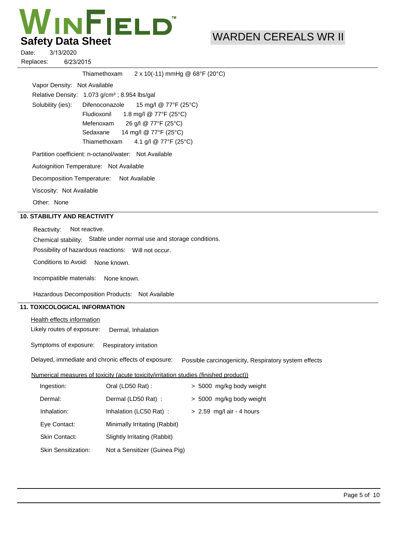# WINFIELD **Safety Data Sheet**

# WARDEN CEREALS WR II

6/23/2015 3/13/2020 Replaces: Date:

|                              | Thiamethoxam                                                | $2 \times 10(-11)$ mmHg @ 68°F (20°C)          |
|------------------------------|-------------------------------------------------------------|------------------------------------------------|
| Vapor Density: Not Available |                                                             |                                                |
|                              | Relative Density: $1.073$ g/cm <sup>3</sup> ; 8.954 lbs/gal |                                                |
| Solubility (ies):            |                                                             | Difenoconazole $15 \text{ mg/l}$ @ 77°F (25°C) |
|                              |                                                             | Fludioxonil $1.8 \text{ mg/l}$ @ 77°F (25°C)   |
|                              | Mefenoxam                                                   | 26 g/l @ 77°F (25°C)                           |
|                              |                                                             | Sedaxane 14 mg/l @ 77°F (25°C)                 |
|                              |                                                             | Thiamethoxam $4.1$ g/l @ 77°F (25°C)           |
|                              | Partition coefficient: n-octanol/water: Not Available       |                                                |
|                              | Autoignition Temperature: Not Available                     |                                                |
|                              | Decomposition Temperature: Not Available                    |                                                |
| Viscosity: Not Available     |                                                             |                                                |
| Other: None                  |                                                             |                                                |
| 10. STABILITY AND REACTIVITY |                                                             |                                                |

Chemical stability: Stable under normal use and storage conditions. Reactivity: Not reactive.

Possibility of hazardous reactions: Will not occur.

Conditions to Avoid: None known.

Incompatible materials: None known.

Hazardous Decomposition Products: Not Available

# **11. TOXICOLOGICAL INFORMATION**

Health effects information

Likely routes of exposure: Dermal, Inhalation

Symptoms of exposure: Respiratory irritation

Delayed, immediate and chronic effects of exposure: Possible carcinogenicity, Respiratory system effects

## Numerical measures of toxicity (acute toxicity/irritation studies (finished product))

| Ingestion:                 | Oral (LD50 Rat):              | > 5000 mg/kg body weight    |
|----------------------------|-------------------------------|-----------------------------|
| Dermal:                    | Dermal (LD50 Rat) :           | > 5000 mg/kg body weight    |
| Inhalation:                | Inhalation (LC50 Rat):        | $> 2.59$ mg/l air - 4 hours |
| Eye Contact:               | Minimally Irritating (Rabbit) |                             |
| <b>Skin Contact:</b>       | Slightly Irritating (Rabbit)  |                             |
| <b>Skin Sensitization:</b> | Not a Sensitizer (Guinea Pig) |                             |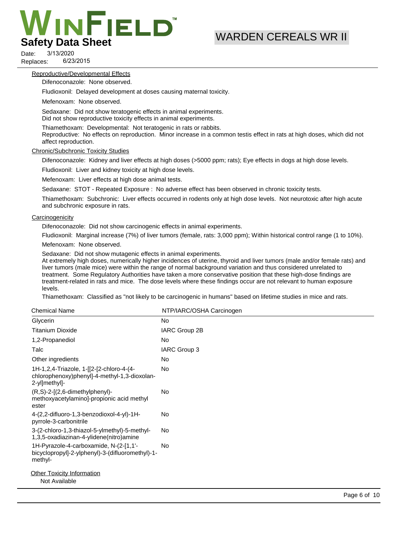# **INFIELD Safety Data Sheet**

# WARDEN CEREALS WR II

6/23/2015 3/13/2020 Replaces: Date:

#### Reproductive/Developmental Effects

Difenoconazole: None observed.

Fludioxonil: Delayed development at doses causing maternal toxicity.

Mefenoxam: None observed.

Sedaxane: Did not show teratogenic effects in animal experiments. Did not show reproductive toxicity effects in animal experiments.

Thiamethoxam: Developmental: Not teratogenic in rats or rabbits.

Reproductive: No effects on reproduction. Minor increase in a common testis effect in rats at high doses, which did not affect reproduction.

#### Chronic/Subchronic Toxicity Studies

Difenoconazole: Kidney and liver effects at high doses (>5000 ppm; rats); Eye effects in dogs at high dose levels.

Fludioxonil: Liver and kidney toxicity at high dose levels.

Mefenoxam: Liver effects at high dose animal tests.

Sedaxane: STOT - Repeated Exposure : No adverse effect has been observed in chronic toxicity tests.

Thiamethoxam: Subchronic: Liver effects occurred in rodents only at high dose levels. Not neurotoxic after high acute and subchronic exposure in rats.

#### **Carcinogenicity**

Difenoconazole: Did not show carcinogenic effects in animal experiments.

Fludioxonil: Marginal increase (7%) of liver tumors (female, rats: 3,000 ppm); Within historical control range (1 to 10%).

Mefenoxam: None observed.

Sedaxane: Did not show mutagenic effects in animal experiments.

At extremely high doses, numerically higher incidences of uterine, thyroid and liver tumors (male and/or female rats) and liver tumors (male mice) were within the range of normal background variation and thus considered unrelated to treatment. Some Regulatory Authorities have taken a more conservative position that these high-dose findings are treatment-related in rats and mice. The dose levels where these findings occur are not relevant to human exposure levels.

Thiamethoxam: Classified as "not likely to be carcinogenic in humans" based on lifetime studies in mice and rats.

| <b>Chemical Name</b>                                                                                      | NTP/IARC/OSHA Carcinogen |
|-----------------------------------------------------------------------------------------------------------|--------------------------|
| Glycerin                                                                                                  | <b>No</b>                |
| <b>Titanium Dioxide</b>                                                                                   | IARC Group 2B            |
| 1,2-Propanediol                                                                                           | No                       |
| Talc                                                                                                      | IARC Group 3             |
| Other ingredients                                                                                         | <b>No</b>                |
| 1H-1,2,4-Triazole, 1-[[2-[2-chloro-4-(4-<br>chlorophenoxy)phenyl]-4-methyl-1,3-dioxolan-<br>2-yl]methyl]- | No.                      |
| $(R, S)-2-[2, 6-dimethylphenyl)-$<br>methoxyacetylamino]-propionic acid methyl<br>ester                   | <b>No</b>                |
| 4-(2,2-difluoro-1,3-benzodioxol-4-yl)-1H-<br>pyrrole-3-carbonitrile                                       | No                       |
| 3-(2-chloro-1,3-thiazol-5-ylmethyl)-5-methyl-<br>1,3,5-oxadiazinan-4-ylidene(nitro)amine                  | <b>No</b>                |
| 1H-Pyrazole-4-carboxamide, N-(2-[1,1'-<br>bicyclopropyl]-2-ylphenyl)-3-(difluoromethyl)-1-<br>methyl-     | No                       |
| <b>Other Toxicity Information</b><br>Not Available                                                        |                          |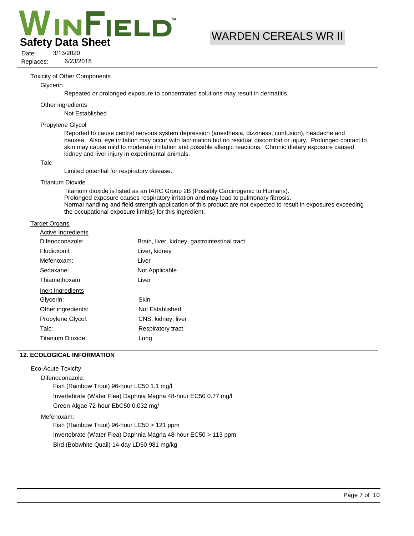

# WARDEN CEREALS WR II

6/23/2015 3/13/2020 Replaces: Date:

#### Toxicity of Other Components

#### Glycerin

Repeated or prolonged exposure to concentrated solutions may result in dermatitis.

#### Other ingredients

Not Established

#### Propylene Glycol

Reported to cause central nervous system depression (anesthesia, dizziness, confusion), headache and nausea. Also, eye irritation may occur with lacrimation but no residual discomfort or injury. Prolonged contact to skin may cause mild to moderate irritation and possible allergic reactions. Chronic dietary exposure caused kidney and liver injury in experimental animals.

#### Talc

Limited potential for respiratory disease.

#### Titanium Dioxide

Titanium dioxide is listed as an IARC Group 2B (Possibly Carcinogenic to Humans). Prolonged exposure causes respiratory irritation and may lead to pulmonary fibrosis. Normal handling and field strength application of this product are not expected to result in exposures exceeding the occupational exposure limit(s) for this ingredient.

#### Target Organs

| <b>Active Ingredients</b> |                                              |
|---------------------------|----------------------------------------------|
| Difenoconazole:           | Brain, liver, kidney, gastrointestinal tract |
| Fludioxonil:              | Liver, kidney                                |
| Mefenoxam:                | Liver                                        |
| Sedaxane:                 | Not Applicable                               |
| Thiamethoxam:             | Liver                                        |
| Inert Ingredients         |                                              |
| Glycerin:                 | Skin                                         |
| Other ingredients:        | Not Established                              |
| Propylene Glycol:         | CNS, kidney, liver                           |
| Talc:                     | Respiratory tract                            |
| Titanium Dioxide:         | Lung                                         |
|                           |                                              |

### **12. ECOLOGICAL INFORMATION**

#### Eco-Acute Toxicity

Difenoconazole:

Fish (Rainbow Trout) 96-hour LC50 1.1 mg/l Invertebrate (Water Flea) Daphnia Magna 48-hour EC50 0.77 mg/l Green Algae 72-hour EbC50 0.032 mg/

#### Mefenoxam:

Fish (Rainbow Trout) 96-hour LC50 > 121 ppm Invertebrate (Water Flea) Daphnia Magna 48-hour EC50 > 113 ppm Bird (Bobwhite Quail) 14-day LD50 981 mg/kg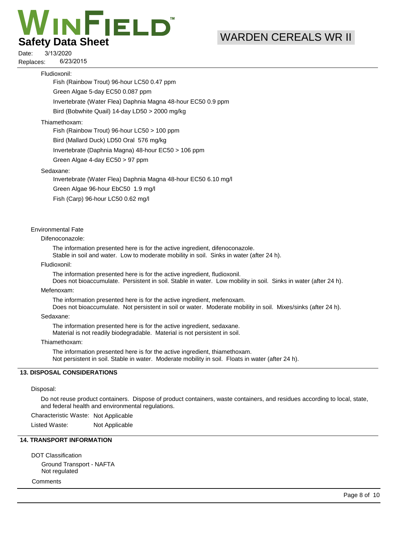# **INFIELD Safety Data Sheet**

# WARDEN CEREALS WR II

6/23/2015 3/13/2020 Replaces: Date:

#### Fludioxonil:

Fish (Rainbow Trout) 96-hour LC50 0.47 ppm

Green Algae 5-day EC50 0.087 ppm

Invertebrate (Water Flea) Daphnia Magna 48-hour EC50 0.9 ppm

Bird (Bobwhite Quail) 14-day LD50 > 2000 mg/kg

#### Thiamethoxam:

Fish (Rainbow Trout) 96-hour LC50 > 100 ppm

Bird (Mallard Duck) LD50 Oral 576 mg/kg

Invertebrate (Daphnia Magna) 48-hour EC50 > 106 ppm

Green Algae 4-day EC50 > 97 ppm

#### Sedaxane:

Invertebrate (Water Flea) Daphnia Magna 48-hour EC50 6.10 mg/l

Green Algae 96-hour EbC50 1.9 mg/l

Fish (Carp) 96-hour LC50 0.62 mg/l

# Environmental Fate

Difenoconazole:

The information presented here is for the active ingredient, difenoconazole.

Stable in soil and water. Low to moderate mobility in soil. Sinks in water (after 24 h).

#### Fludioxonil:

The information presented here is for the active ingredient, fludioxonil.

Does not bioaccumulate. Persistent in soil. Stable in water. Low mobility in soil. Sinks in water (after 24 h).

#### Mefenoxam:

The information presented here is for the active ingredient, mefenoxam.

Does not bioaccumulate. Not persistent in soil or water. Moderate mobility in soil. Mixes/sinks (after 24 h).

#### Sedaxane:

The information presented here is for the active ingredient, sedaxane. Material is not readily biodegradable. Material is not persistent in soil.

#### Thiamethoxam:

The information presented here is for the active ingredient, thiamethoxam. Not persistent in soil. Stable in water. Moderate mobility in soil. Floats in water (after 24 h).

## **13. DISPOSAL CONSIDERATIONS**

#### Disposal:

Do not reuse product containers. Dispose of product containers, waste containers, and residues according to local, state, and federal health and environmental regulations.

Characteristic Waste: Not Applicable

Listed Waste: Not Applicable

# **14. TRANSPORT INFORMATION**

DOT Classification Ground Transport - NAFTA Not regulated

**Comments**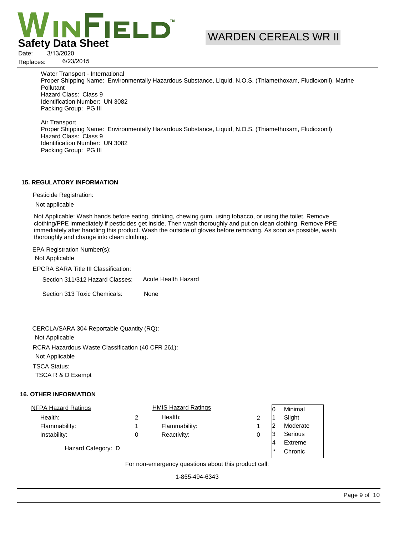

6/23/2015

Replaces:

WARDEN CEREALS WR II

Water Transport - International Proper Shipping Name: Environmentally Hazardous Substance, Liquid, N.O.S. (Thiamethoxam, Fludioxonil), Marine **Pollutant** Hazard Class: Class 9 Identification Number: UN 3082 Packing Group: PG III

Air Transport Proper Shipping Name: Environmentally Hazardous Substance, Liquid, N.O.S. (Thiamethoxam, Fludioxonil) Hazard Class: Class 9 Identification Number: UN 3082 Packing Group: PG III

#### **15. REGULATORY INFORMATION**

Pesticide Registration:

Not applicable

Not Applicable: Wash hands before eating, drinking, chewing gum, using tobacco, or using the toilet. Remove clothing/PPE immediately if pesticides get inside. Then wash thoroughly and put on clean clothing. Remove PPE immediately after handling this product. Wash the outside of gloves before removing. As soon as possible, wash thoroughly and change into clean clothing.

EPA Registration Number(s):

Not Applicable

EPCRA SARA Title III Classification:

Section 311/312 Hazard Classes: Acute Health Hazard

Section 313 Toxic Chemicals: None

RCRA Hazardous Waste Classification (40 CFR 261): Not Applicable TSCA Status: TSCA R & D Exempt CERCLA/SARA 304 Reportable Quantity (RQ): Not Applicable

# **16. OTHER INFORMATION**

| <b>NFPA Hazard Ratings</b> |   | <b>HMIS Hazard Ratings</b> |  | Minimal  |
|----------------------------|---|----------------------------|--|----------|
| Health:                    | 2 | Health:                    |  | Slight   |
| Flammability:              |   | Flammability:              |  | Moderate |
| Instability:               | 0 | Reactivity:                |  | Serious  |
|                            |   |                            |  | Extreme  |
| Hazard Category: D         |   |                            |  | Chronic  |

For non-emergency questions about this product call:

1-855-494-6343